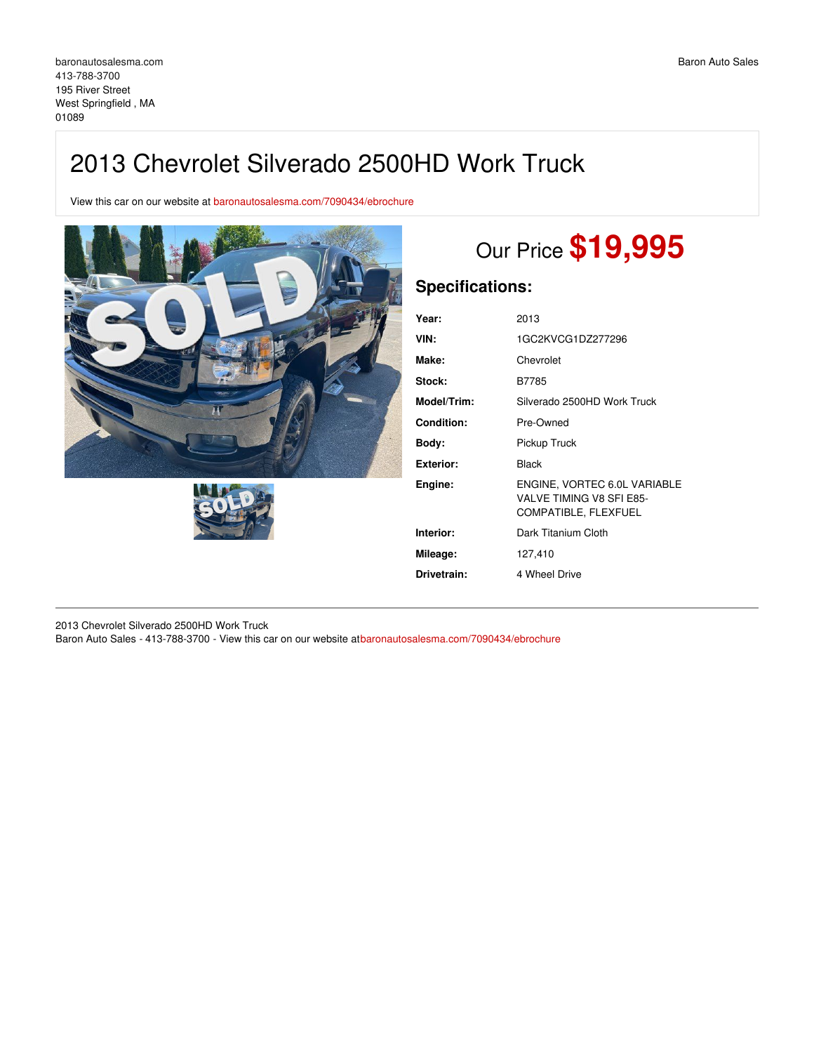## 2013 Chevrolet Silverado 2500HD Work Truck

View this car on our website at [baronautosalesma.com/7090434/ebrochure](https://baronautosalesma.com/vehicle/7090434/2013-chevrolet-silverado-2500hd-work-truck-west-springfield-ma-01089/7090434/ebrochure)





# Our Price **\$19,995**

## **Specifications:**

| Year:             | 2013                                                                             |
|-------------------|----------------------------------------------------------------------------------|
| VIN:              | 1GC2KVCG1DZ277296                                                                |
| Make:             | Chevrolet                                                                        |
| Stock:            | B7785                                                                            |
| Model/Trim:       | Silverado 2500HD Work Truck                                                      |
| <b>Condition:</b> | Pre-Owned                                                                        |
| Body:             | Pickup Truck                                                                     |
| <b>Exterior:</b>  | Black                                                                            |
| Engine:           | ENGINE, VORTEC 6.0L VARIABLE<br>VALVE TIMING V8 SFI E85-<br>COMPATIBLE, FLEXFUEL |
| Interior:         | Dark Titanium Cloth                                                              |
| Mileage:          | 127,410                                                                          |
| Drivetrain:       | 4 Wheel Drive                                                                    |

2013 Chevrolet Silverado 2500HD Work Truck Baron Auto Sales - 413-788-3700 - View this car on our website at[baronautosalesma.com/7090434/ebrochure](https://baronautosalesma.com/vehicle/7090434/2013-chevrolet-silverado-2500hd-work-truck-west-springfield-ma-01089/7090434/ebrochure)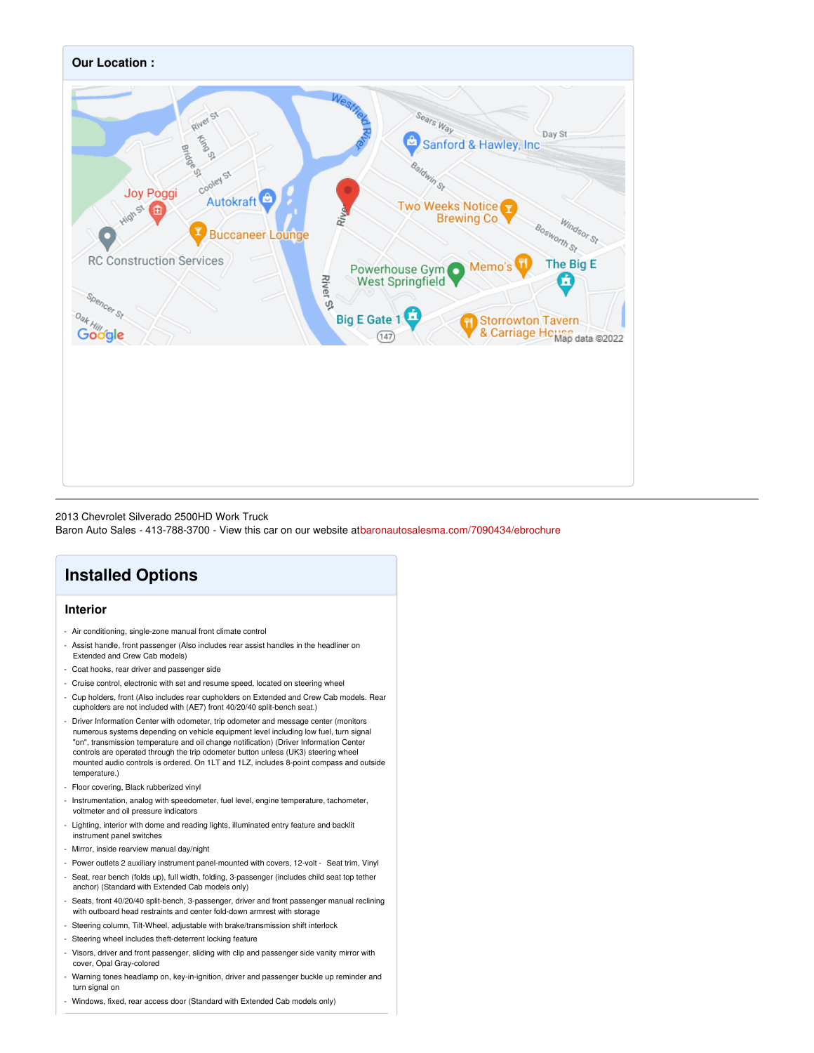

#### 2013 Chevrolet Silverado 2500HD Work Truck

Baron Auto Sales - 413-788-3700 - View this car on our website at[baronautosalesma.com/7090434/ebrochure](https://baronautosalesma.com/vehicle/7090434/2013-chevrolet-silverado-2500hd-work-truck-west-springfield-ma-01089/7090434/ebrochure)

## **Installed Options**

#### **Interior**

- Air conditioning, single-zone manual front climate control
- Assist handle, front passenger (Also includes rear assist handles in the headliner on Extended and Crew Cab models)
- Coat hooks, rear driver and passenger side
- Cruise control, electronic with set and resume speed, located on steering wheel
- Cup holders, front (Also includes rear cupholders on Extended and Crew Cab models. Rear cupholders are not included with (AE7) front 40/20/40 split-bench seat.)
- Driver Information Center with odometer, trip odometer and message center (monitors numerous systems depending on vehicle equipment level including low fuel, turn signal "on", transmission temperature and oil change notification) (Driver Information Center controls are operated through the trip odometer button unless (UK3) steering wheel mounted audio controls is ordered. On 1LT and 1LZ, includes 8-point compass and outside temperature.)
- Floor covering, Black rubberized vinyl
- Instrumentation, analog with speedometer, fuel level, engine temperature, tachometer, voltmeter and oil pressure indicators
- Lighting, interior with dome and reading lights, illuminated entry feature and backlit instrument panel switches
- Mirror, inside rearview manual day/night
- Power outlets 2 auxiliary instrument panel-mounted with covers, 12-volt Seat trim, Vinyl
- Seat, rear bench (folds up), full width, folding, 3-passenger (includes child seat top tether anchor) (Standard with Extended Cab models only)
- Seats, front 40/20/40 split-bench, 3-passenger, driver and front passenger manual reclining with outboard head restraints and center fold-down armrest with storage
- Steering column, Tilt-Wheel, adjustable with brake/transmission shift interlock
- Steering wheel includes theft-deterrent locking feature
- Visors, driver and front passenger, sliding with clip and passenger side vanity mirror with cover, Opal Gray-colored
- Warning tones headlamp on, key-in-ignition, driver and passenger buckle up reminder and turn signal on
- Windows, fixed, rear access door (Standard with Extended Cab models only)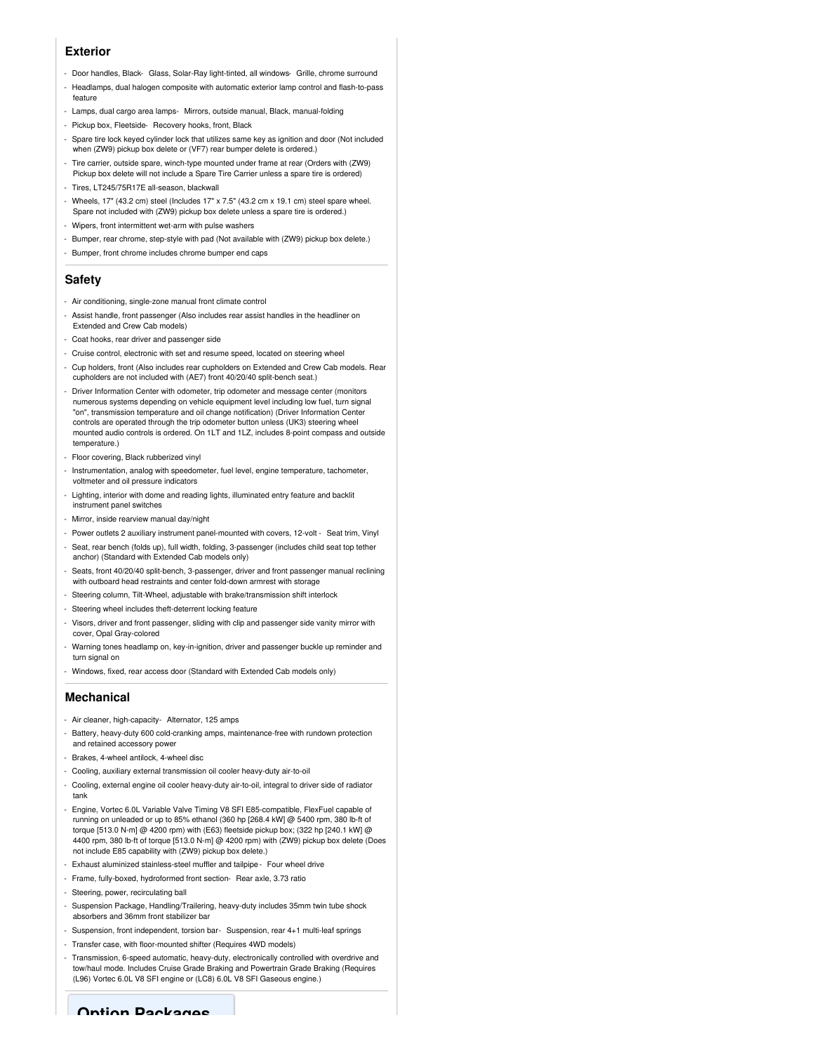#### **Exterior**

- Door handles, Black- Glass, Solar-Ray light-tinted, all windows- Grille, chrome surround
- Headlamps, dual halogen composite with automatic exterior lamp control and flash-to-pass feature
- Lamps, dual cargo area lamps- Mirrors, outside manual, Black, manual-folding
- Pickup box, Fleetside- Recovery hooks, front, Black
- Spare tire lock keyed cylinder lock that utilizes same key as ignition and door (Not included when (ZW9) pickup box delete or (VF7) rear bumper delete is ordered.)
- Tire carrier, outside spare, winch-type mounted under frame at rear (Orders with (ZW9) Pickup box delete will not include a Spare Tire Carrier unless a spare tire is ordered)
- Tires, LT245/75R17E all-season, blackwall
- Wheels, 17" (43.2 cm) steel (Includes 17" x 7.5" (43.2 cm x 19.1 cm) steel spare wheel. Spare not included with (ZW9) pickup box delete unless a spare tire is ordered.)
- Wipers, front intermittent wet-arm with pulse washers
- Bumper, rear chrome, step-style with pad (Not available with (ZW9) pickup box delete.)
- Bumper, front chrome includes chrome bumper end caps

#### **Safety**

- Air conditioning, single-zone manual front climate control
- Assist handle, front passenger (Also includes rear assist handles in the headliner on Extended and Crew Cab models)
- Coat hooks, rear driver and passenger side
- Cruise control, electronic with set and resume speed, located on steering wheel
- Cup holders, front (Also includes rear cupholders on Extended and Crew Cab models. Rear cupholders are not included with (AE7) front 40/20/40 split-bench seat.)
- Driver Information Center with odometer, trip odometer and message center (monitors numerous systems depending on vehicle equipment level including low fuel, turn signal "on", transmission temperature and oil change notification) (Driver Information Center controls are operated through the trip odometer button unless (UK3) steering wheel mounted audio controls is ordered. On 1LT and 1LZ, includes 8-point compass and outside temperature.)
- Floor covering, Black rubberized vinyl
- Instrumentation, analog with speedometer, fuel level, engine temperature, tachometer, voltmeter and oil pressure indicators
- Lighting, interior with dome and reading lights, illuminated entry feature and backlit instrument panel switches
- Mirror, inside rearview manual day/night
- Power outlets 2 auxiliary instrument panel-mounted with covers, 12-volt Seat trim, Vinyl
- Seat, rear bench (folds up), full width, folding, 3-passenger (includes child seat top tether anchor) (Standard with Extended Cab models only)
- Seats, front 40/20/40 split-bench, 3-passenger, driver and front passenger manual reclining with outboard head restraints and center fold-down armrest with storage
- Steering column, Tilt-Wheel, adjustable with brake/transmission shift interlock
- Steering wheel includes theft-deterrent locking feature
- Visors, driver and front passenger, sliding with clip and passenger side vanity mirror with cover, Opal Gray-colored
- Warning tones headlamp on, key-in-ignition, driver and passenger buckle up reminder and turn signal on
- Windows, fixed, rear access door (Standard with Extended Cab models only)

#### **Mechanical**

- Air cleaner, high-capacity- Alternator, 125 amps
- Battery, heavy-duty 600 cold-cranking amps, maintenance-free with rundown protection and retained accessory power
- Brakes, 4-wheel antilock, 4-wheel disc
- Cooling, auxiliary external transmission oil cooler heavy-duty air-to-oil
- Cooling, external engine oil cooler heavy-duty air-to-oil, integral to driver side of radiator tank
- Engine, Vortec 6.0L Variable Valve Timing V8 SFI E85-compatible, FlexFuel capable of running on unleaded or up to 85% ethanol (360 hp [268.4 kW] @ 5400 rpm, 380 lb-ft of torque [513.0 N-m] @ 4200 rpm) with (E63) fleetside pickup box; (322 hp [240.1 kW] @ 4400 rpm, 380 lb-ft of torque [513.0 N-m] @ 4200 rpm) with (ZW9) pickup box delete (Does not include E85 capability with (ZW9) pickup box delete.)
- Exhaust aluminized stainless-steel muffler and tailpipe Four wheel drive
- Frame, fully-boxed, hydroformed front section- Rear axle, 3.73 ratio
- Steering, power, recirculating ball
- Suspension Package, Handling/Trailering, heavy-duty includes 35mm twin tube shock absorbers and 36mm front stabilizer bar
- Suspension, front independent, torsion bar- Suspension, rear 4+1 multi-leaf springs
- Transfer case, with floor-mounted shifter (Requires 4WD models)
- Transmission, 6-speed automatic, heavy-duty, electronically controlled with overdrive and tow/haul mode. Includes Cruise Grade Braking and Powertrain Grade Braking (Requires (L96) Vortec 6.0L V8 SFI engine or (LC8) 6.0L V8 SFI Gaseous engine.)

**Option Packages**